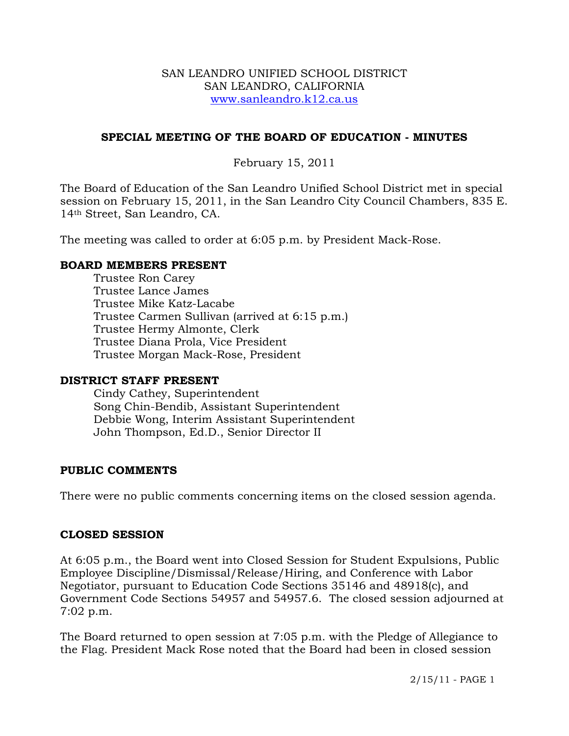#### SAN LEANDRO UNIFIED SCHOOL DISTRICT SAN LEANDRO, CALIFORNIA www.sanleandro.k12.ca.us

### **SPECIAL MEETING OF THE BOARD OF EDUCATION - MINUTES**

## February 15, 2011

The Board of Education of the San Leandro Unified School District met in special session on February 15, 2011, in the San Leandro City Council Chambers, 835 E. 14th Street, San Leandro, CA.

The meeting was called to order at 6:05 p.m. by President Mack-Rose.

#### **BOARD MEMBERS PRESENT**

Trustee Ron Carey Trustee Lance James Trustee Mike Katz-Lacabe Trustee Carmen Sullivan (arrived at 6:15 p.m.) Trustee Hermy Almonte, Clerk Trustee Diana Prola, Vice President Trustee Morgan Mack-Rose, President

#### **DISTRICT STAFF PRESENT**

Cindy Cathey, Superintendent Song Chin-Bendib, Assistant Superintendent Debbie Wong, Interim Assistant Superintendent John Thompson, Ed.D., Senior Director II

### **PUBLIC COMMENTS**

There were no public comments concerning items on the closed session agenda.

### **CLOSED SESSION**

At 6:05 p.m., the Board went into Closed Session for Student Expulsions, Public Employee Discipline/Dismissal/Release/Hiring, and Conference with Labor Negotiator, pursuant to Education Code Sections 35146 and 48918(c), and Government Code Sections 54957 and 54957.6. The closed session adjourned at 7:02 p.m.

The Board returned to open session at 7:05 p.m. with the Pledge of Allegiance to the Flag. President Mack Rose noted that the Board had been in closed session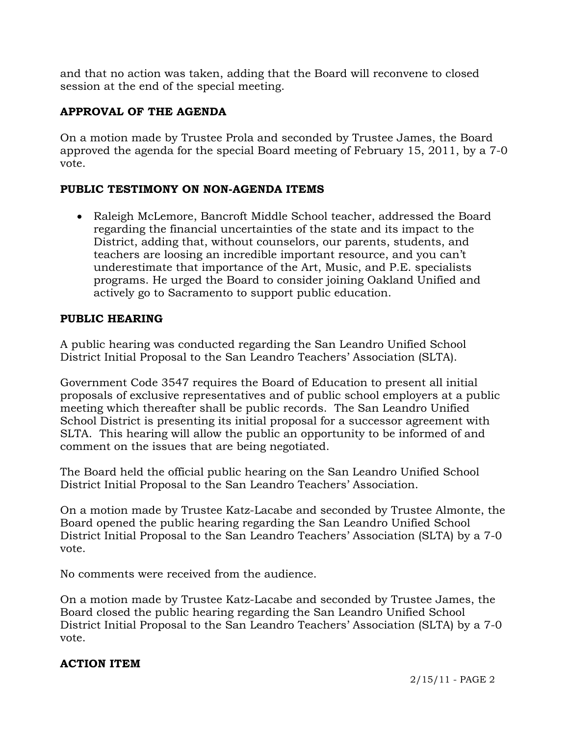and that no action was taken, adding that the Board will reconvene to closed session at the end of the special meeting.

# **APPROVAL OF THE AGENDA**

On a motion made by Trustee Prola and seconded by Trustee James, the Board approved the agenda for the special Board meeting of February 15, 2011, by a 7-0 vote.

# **PUBLIC TESTIMONY ON NON-AGENDA ITEMS**

• Raleigh McLemore, Bancroft Middle School teacher, addressed the Board regarding the financial uncertainties of the state and its impact to the District, adding that, without counselors, our parents, students, and teachers are loosing an incredible important resource, and you can't underestimate that importance of the Art, Music, and P.E. specialists programs. He urged the Board to consider joining Oakland Unified and actively go to Sacramento to support public education.

## **PUBLIC HEARING**

A public hearing was conducted regarding the San Leandro Unified School District Initial Proposal to the San Leandro Teachers' Association (SLTA).

Government Code 3547 requires the Board of Education to present all initial proposals of exclusive representatives and of public school employers at a public meeting which thereafter shall be public records. The San Leandro Unified School District is presenting its initial proposal for a successor agreement with SLTA. This hearing will allow the public an opportunity to be informed of and comment on the issues that are being negotiated.

The Board held the official public hearing on the San Leandro Unified School District Initial Proposal to the San Leandro Teachers' Association.

On a motion made by Trustee Katz-Lacabe and seconded by Trustee Almonte, the Board opened the public hearing regarding the San Leandro Unified School District Initial Proposal to the San Leandro Teachers' Association (SLTA) by a 7-0 vote.

No comments were received from the audience.

On a motion made by Trustee Katz-Lacabe and seconded by Trustee James, the Board closed the public hearing regarding the San Leandro Unified School District Initial Proposal to the San Leandro Teachers' Association (SLTA) by a 7-0 vote.

### **ACTION ITEM**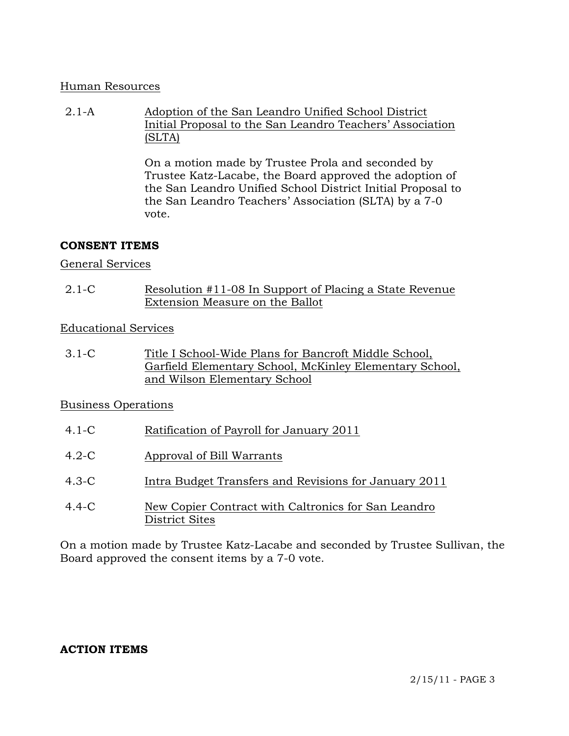#### Human Resources

2.1-A Adoption of the San Leandro Unified School District Initial Proposal to the San Leandro Teachers' Association (SLTA)

> On a motion made by Trustee Prola and seconded by Trustee Katz-Lacabe, the Board approved the adoption of the San Leandro Unified School District Initial Proposal to the San Leandro Teachers' Association (SLTA) by a 7-0 vote.

### **CONSENT ITEMS**

### General Services

2.1-C Resolution #11-08 In Support of Placing a State Revenue Extension Measure on the Ballot

Educational Services

3.1-C Title I School-Wide Plans for Bancroft Middle School, Garfield Elementary School, McKinley Elementary School, and Wilson Elementary School

### Business Operations

- 4.1-C Ratification of Payroll for January 2011
- 4.2-C Approval of Bill Warrants
- 4.3-C Intra Budget Transfers and Revisions for January 2011
- 4.4-C New Copier Contract with Caltronics for San Leandro District Sites

On a motion made by Trustee Katz-Lacabe and seconded by Trustee Sullivan, the Board approved the consent items by a 7-0 vote.

### **ACTION ITEMS**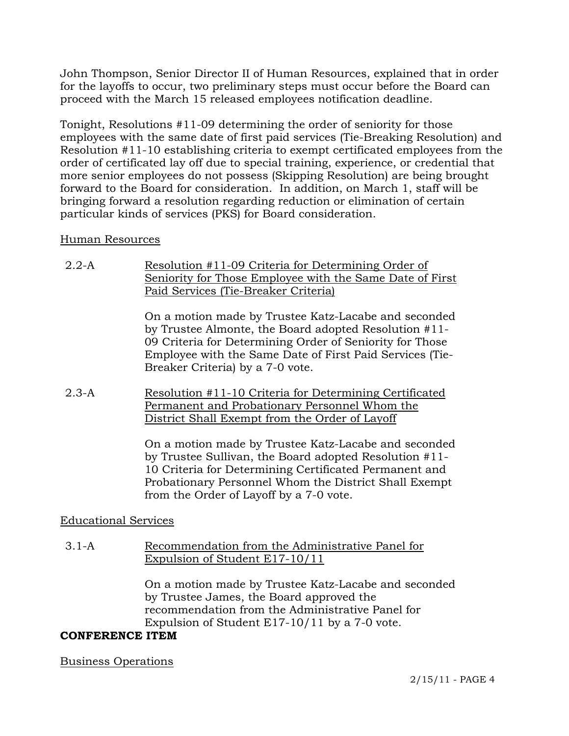John Thompson, Senior Director II of Human Resources, explained that in order for the layoffs to occur, two preliminary steps must occur before the Board can proceed with the March 15 released employees notification deadline.

Tonight, Resolutions #11-09 determining the order of seniority for those employees with the same date of first paid services (Tie-Breaking Resolution) and Resolution #11-10 establishing criteria to exempt certificated employees from the order of certificated lay off due to special training, experience, or credential that more senior employees do not possess (Skipping Resolution) are being brought forward to the Board for consideration. In addition, on March 1, staff will be bringing forward a resolution regarding reduction or elimination of certain particular kinds of services (PKS) for Board consideration.

### Human Resources

2.2-A Resolution #11-09 Criteria for Determining Order of Seniority for Those Employee with the Same Date of First Paid Services (Tie-Breaker Criteria)

> On a motion made by Trustee Katz-Lacabe and seconded by Trustee Almonte, the Board adopted Resolution #11- 09 Criteria for Determining Order of Seniority for Those Employee with the Same Date of First Paid Services (Tie-Breaker Criteria) by a 7-0 vote.

2.3-A Resolution #11-10 Criteria for Determining Certificated Permanent and Probationary Personnel Whom the District Shall Exempt from the Order of Layoff

> On a motion made by Trustee Katz-Lacabe and seconded by Trustee Sullivan, the Board adopted Resolution #11- 10 Criteria for Determining Certificated Permanent and Probationary Personnel Whom the District Shall Exempt from the Order of Layoff by a 7-0 vote.

### Educational Services

3.1-A Recommendation from the Administrative Panel for Expulsion of Student E17-10/11

> On a motion made by Trustee Katz-Lacabe and seconded by Trustee James, the Board approved the recommendation from the Administrative Panel for Expulsion of Student E17-10/11 by a 7-0 vote.

### **CONFERENCE ITEM**

### Business Operations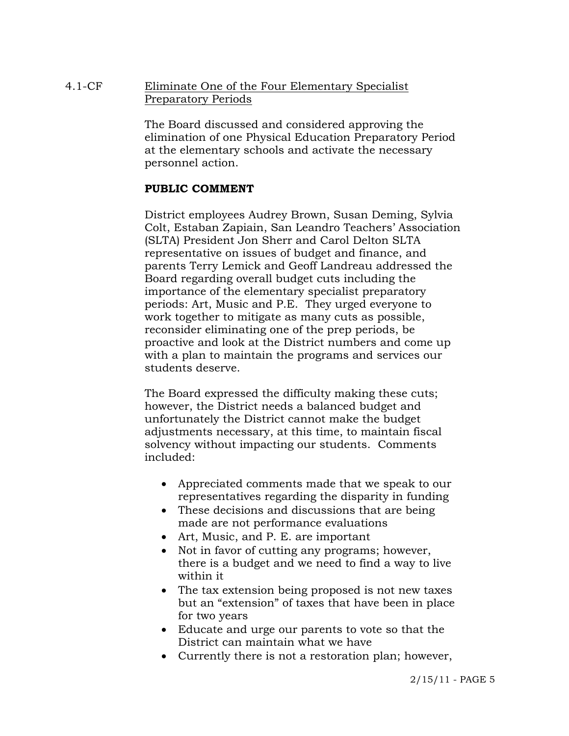# 4.1-CF Eliminate One of the Four Elementary Specialist Preparatory Periods

The Board discussed and considered approving the elimination of one Physical Education Preparatory Period at the elementary schools and activate the necessary personnel action.

#### **PUBLIC COMMENT**

District employees Audrey Brown, Susan Deming, Sylvia Colt, Estaban Zapiain, San Leandro Teachers' Association (SLTA) President Jon Sherr and Carol Delton SLTA representative on issues of budget and finance, and parents Terry Lemick and Geoff Landreau addressed the Board regarding overall budget cuts including the importance of the elementary specialist preparatory periods: Art, Music and P.E. They urged everyone to work together to mitigate as many cuts as possible, reconsider eliminating one of the prep periods, be proactive and look at the District numbers and come up with a plan to maintain the programs and services our students deserve.

The Board expressed the difficulty making these cuts; however, the District needs a balanced budget and unfortunately the District cannot make the budget adjustments necessary, at this time, to maintain fiscal solvency without impacting our students. Comments included:

- Appreciated comments made that we speak to our representatives regarding the disparity in funding
- These decisions and discussions that are being made are not performance evaluations
- Art, Music, and P. E. are important
- Not in favor of cutting any programs; however, there is a budget and we need to find a way to live within it
- The tax extension being proposed is not new taxes but an "extension" of taxes that have been in place for two years
- Educate and urge our parents to vote so that the District can maintain what we have
- Currently there is not a restoration plan; however,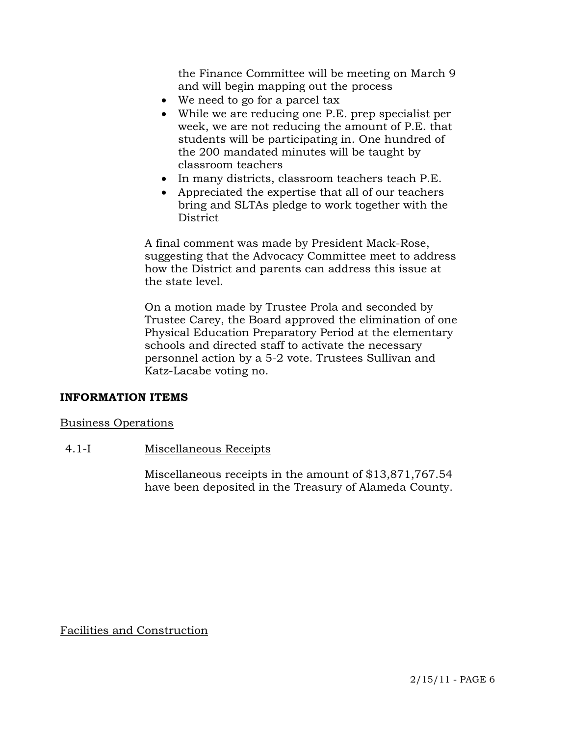the Finance Committee will be meeting on March 9 and will begin mapping out the process

- We need to go for a parcel tax
- While we are reducing one P.E. prep specialist per week, we are not reducing the amount of P.E. that students will be participating in. One hundred of the 200 mandated minutes will be taught by classroom teachers
- In many districts, classroom teachers teach P.E.
- Appreciated the expertise that all of our teachers bring and SLTAs pledge to work together with the **District**

A final comment was made by President Mack-Rose, suggesting that the Advocacy Committee meet to address how the District and parents can address this issue at the state level.

On a motion made by Trustee Prola and seconded by Trustee Carey, the Board approved the elimination of one Physical Education Preparatory Period at the elementary schools and directed staff to activate the necessary personnel action by a 5-2 vote. Trustees Sullivan and Katz-Lacabe voting no.

#### **INFORMATION ITEMS**

#### Business Operations

### 4.1-I Miscellaneous Receipts

Miscellaneous receipts in the amount of \$13,871,767.54 have been deposited in the Treasury of Alameda County.

Facilities and Construction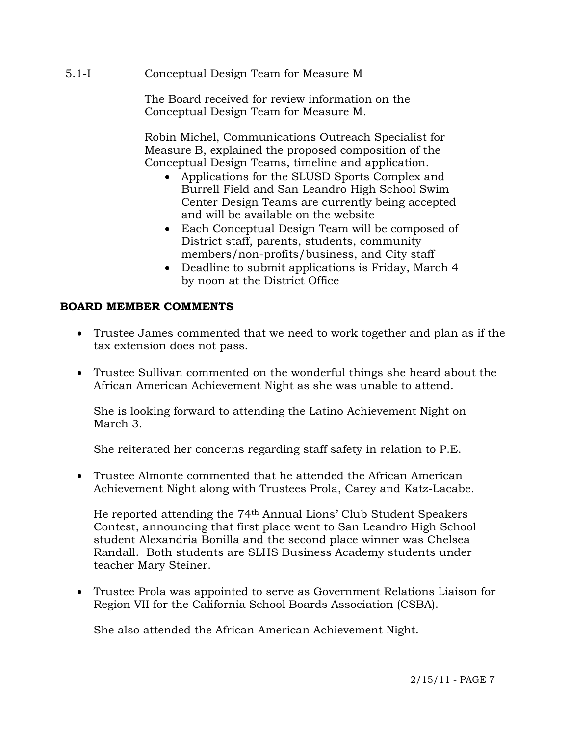### 5.1-I Conceptual Design Team for Measure M

The Board received for review information on the Conceptual Design Team for Measure M.

Robin Michel, Communications Outreach Specialist for Measure B, explained the proposed composition of the Conceptual Design Teams, timeline and application.

- Applications for the SLUSD Sports Complex and Burrell Field and San Leandro High School Swim Center Design Teams are currently being accepted and will be available on the website
- Each Conceptual Design Team will be composed of District staff, parents, students, community members/non-profits/business, and City staff
- Deadline to submit applications is Friday, March 4 by noon at the District Office

## **BOARD MEMBER COMMENTS**

- Trustee James commented that we need to work together and plan as if the tax extension does not pass.
- Trustee Sullivan commented on the wonderful things she heard about the African American Achievement Night as she was unable to attend.

She is looking forward to attending the Latino Achievement Night on March 3.

She reiterated her concerns regarding staff safety in relation to P.E.

 Trustee Almonte commented that he attended the African American Achievement Night along with Trustees Prola, Carey and Katz-Lacabe.

He reported attending the 74th Annual Lions' Club Student Speakers Contest, announcing that first place went to San Leandro High School student Alexandria Bonilla and the second place winner was Chelsea Randall. Both students are SLHS Business Academy students under teacher Mary Steiner.

 Trustee Prola was appointed to serve as Government Relations Liaison for Region VII for the California School Boards Association (CSBA).

She also attended the African American Achievement Night.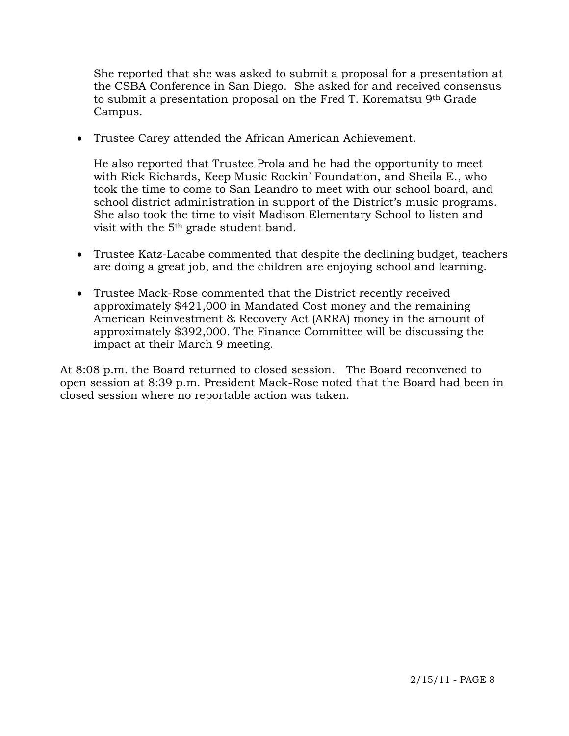She reported that she was asked to submit a proposal for a presentation at the CSBA Conference in San Diego. She asked for and received consensus to submit a presentation proposal on the Fred T. Korematsu 9th Grade Campus.

Trustee Carey attended the African American Achievement.

He also reported that Trustee Prola and he had the opportunity to meet with Rick Richards, Keep Music Rockin' Foundation, and Sheila E., who took the time to come to San Leandro to meet with our school board, and school district administration in support of the District's music programs. She also took the time to visit Madison Elementary School to listen and visit with the 5th grade student band.

- Trustee Katz-Lacabe commented that despite the declining budget, teachers are doing a great job, and the children are enjoying school and learning.
- Trustee Mack-Rose commented that the District recently received approximately \$421,000 in Mandated Cost money and the remaining American Reinvestment & Recovery Act (ARRA) money in the amount of approximately \$392,000. The Finance Committee will be discussing the impact at their March 9 meeting.

At 8:08 p.m. the Board returned to closed session. The Board reconvened to open session at 8:39 p.m. President Mack-Rose noted that the Board had been in closed session where no reportable action was taken.